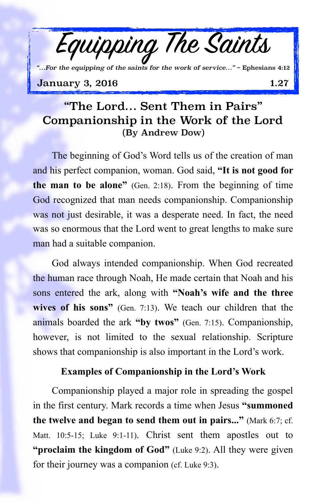**January 3, 2016** 1.27 *"…For the equipping of the saints for the work of service…"* ~ Ephesians 4:12

Equipping The Saints

## "The Lord… Sent Them in Pairs" Companionship in the Work of the Lord (By Andrew Dow)

The beginning of God's Word tells us of the creation of man and his perfect companion, woman. God said, **"It is not good for the man to be alone"** (Gen. 2:18). From the beginning of time God recognized that man needs companionship. Companionship was not just desirable, it was a desperate need. In fact, the need was so enormous that the Lord went to great lengths to make sure man had a suitable companion.

God always intended companionship. When God recreated the human race through Noah, He made certain that Noah and his sons entered the ark, along with **"Noah's wife and the three wives of his sons"** (Gen. 7:13). We teach our children that the animals boarded the ark **"by twos"** (Gen. 7:15). Companionship, however, is not limited to the sexual relationship. Scripture shows that companionship is also important in the Lord's work.

## **Examples of Companionship in the Lord's Work**

Companionship played a major role in spreading the gospel in the first century. Mark records a time when Jesus **"summoned the twelve and began to send them out in pairs..."** (Mark 6:7; cf. Matt. 10:5-15; Luke 9:1-11). Christ sent them apostles out to **"proclaim the kingdom of God"** (Luke 9:2). All they were given for their journey was a companion (cf. Luke 9:3).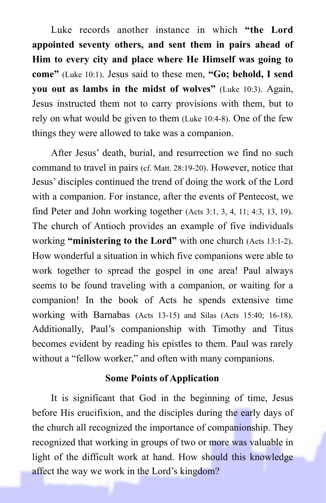Luke records another instance in which **"the Lord appointed seventy others, and sent them in pairs ahead of Him to every city and place where He Himself was going to come"** (Luke 10:1). Jesus said to these men, **"Go; behold, I send you out as lambs in the midst of wolves"** (Luke 10:3). Again, Jesus instructed them not to carry provisions with them, but to rely on what would be given to them (Luke 10:4-8). One of the few things they were allowed to take was a companion.

After Jesus' death, burial, and resurrection we find no such command to travel in pairs (cf. Matt. 28:19-20). However, notice that Jesus' disciples continued the trend of doing the work of the Lord with a companion. For instance, after the events of Pentecost, we find Peter and John working together (Acts 3:1, 3, 4, 11; 4:3, 13, 19). The church of Antioch provides an example of five individuals working **"ministering to the Lord"** with one church (Acts 13:1-2). How wonderful a situation in which five companions were able to work together to spread the gospel in one area! Paul always seems to be found traveling with a companion, or waiting for a companion! In the book of Acts he spends extensive time working with Barnabas (Acts 13-15) and Silas (Acts 15:40; 16-18). Additionally, Paul's companionship with Timothy and Titus becomes evident by reading his epistles to them. Paul was rarely without a "fellow worker," and often with many companions.

## **Some Points of Application**

It is significant that God in the beginning of time, Jesus before His crucifixion, and the disciples during the early days of the church all recognized the importance of companionship. They recognized that working in groups of two or more was valuable in light of the difficult work at hand. How should this knowledge affect the way we work in the Lord's kingdom?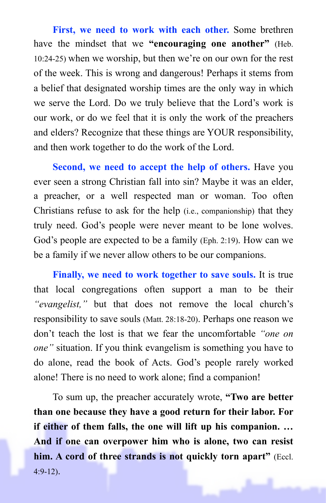**First, we need to work with each other.** Some brethren have the mindset that we **"encouraging one another"** (Heb. 10:24-25) when we worship, but then we're on our own for the rest of the week. This is wrong and dangerous! Perhaps it stems from a belief that designated worship times are the only way in which we serve the Lord. Do we truly believe that the Lord's work is our work, or do we feel that it is only the work of the preachers and elders? Recognize that these things are YOUR responsibility, and then work together to do the work of the Lord.

**Second, we need to accept the help of others.** Have you ever seen a strong Christian fall into sin? Maybe it was an elder, a preacher, or a well respected man or woman. Too often Christians refuse to ask for the help (i.e., companionship) that they truly need. God's people were never meant to be lone wolves. God's people are expected to be a family (Eph. 2:19). How can we be a family if we never allow others to be our companions.

**Finally, we need to work together to save souls.** It is true that local congregations often support a man to be their *"evangelist,"* but that does not remove the local church's responsibility to save souls (Matt. 28:18-20). Perhaps one reason we don't teach the lost is that we fear the uncomfortable *"one on one"* situation. If you think evangelism is something you have to do alone, read the book of Acts. God's people rarely worked alone! There is no need to work alone; find a companion!

To sum up, the preacher accurately wrote, **"Two are better than one because they have a good return for their labor. For if either of them falls, the one will lift up his companion. … And if one can overpower him who is alone, two can resist him. A cord of three strands is not quickly torn apart"** (Eccl.  $4:9-12$ ).